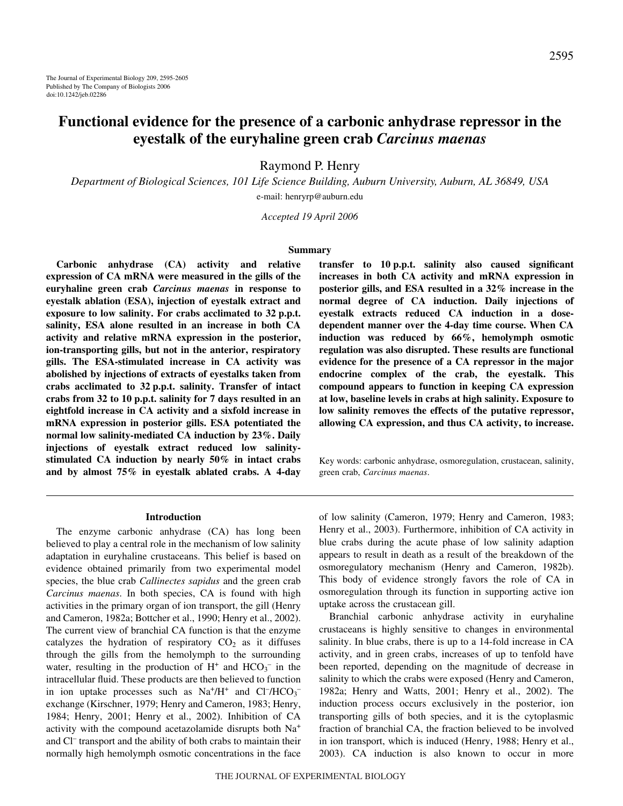# **Functional evidence for the presence of a carbonic anhydrase repressor in the eyestalk of the euryhaline green crab** *Carcinus maenas*

Raymond P. Henry

*Department of Biological Sciences, 101 Life Science Building, Auburn University, Auburn, AL 36849, USA* e-mail: henryrp@auburn.edu

*Accepted 19 April 2006*

### **Summary**

**Carbonic anhydrase (CA) activity and relative expression of CA mRNA were measured in the gills of the euryhaline green crab** *Carcinus maenas* **in response to eyestalk ablation (ESA), injection of eyestalk extract and** exposure to low salinity. For crabs acclimated to 32 p.p.t. **salinity, ESA alone resulted in an increase in both CA activity and relative mRNA expression in the posterior, ion-transporting gills, but not in the anterior, respiratory gills. The ESA-stimulated increase in CA activity was abolished by injections of extracts of eyestalks taken from crabs acclimated to 32·p.p.t. salinity. Transfer of intact** crabs from 32 to 10 p.p.t. salinity for 7 days resulted in an **eightfold increase in CA activity and a sixfold increase in mRNA expression in posterior gills. ESA potentiated the normal low salinity-mediated CA induction by 23%. Daily injections of eyestalk extract reduced low salinitystimulated CA induction by nearly 50% in intact crabs and by almost 75% in eyestalk ablated crabs. A 4-day**

#### **Introduction**

The enzyme carbonic anhydrase (CA) has long been believed to play a central role in the mechanism of low salinity adaptation in euryhaline crustaceans. This belief is based on evidence obtained primarily from two experimental model species, the blue crab *Callinectes sapidus* and the green crab *Carcinus maenas*. In both species, CA is found with high activities in the primary organ of ion transport, the gill (Henry and Cameron, 1982a; Bottcher et al., 1990; Henry et al., 2002). The current view of branchial CA function is that the enzyme catalyzes the hydration of respiratory  $CO<sub>2</sub>$  as it diffuses through the gills from the hemolymph to the surrounding water, resulting in the production of  $H^+$  and  $HCO_3^-$  in the intracellular fluid. These products are then believed to function in ion uptake processes such as  $Na^+/H^+$  and  $Cl^-/HCO_3^$ exchange (Kirschner, 1979; Henry and Cameron, 1983; Henry, 1984; Henry, 2001; Henry et al., 2002). Inhibition of CA activity with the compound acetazolamide disrupts both Na<sup>+</sup> and Cl– transport and the ability of both crabs to maintain their normally high hemolymph osmotic concentrations in the face

transfer to 10 p.p.t. salinity also caused significant **increases in both CA activity and mRNA expression in posterior gills, and ESA resulted in a 32% increase in the normal degree of CA induction. Daily injections of eyestalk extracts reduced CA induction in a dosedependent manner over the 4-day time course. When CA induction was reduced by 66%, hemolymph osmotic regulation was also disrupted. These results are functional evidence for the presence of a CA repressor in the major endocrine complex of the crab, the eyestalk. This compound appears to function in keeping CA expression at low, baseline levels in crabs at high salinity. Exposure to low salinity removes the effects of the putative repressor, allowing CA expression, and thus CA activity, to increase.**

Key words: carbonic anhydrase, osmoregulation, crustacean, salinity, green crab, *Carcinus maenas*.

of low salinity (Cameron, 1979; Henry and Cameron, 1983; Henry et al., 2003). Furthermore, inhibition of CA activity in blue crabs during the acute phase of low salinity adaption appears to result in death as a result of the breakdown of the osmoregulatory mechanism (Henry and Cameron, 1982b). This body of evidence strongly favors the role of CA in osmoregulation through its function in supporting active ion uptake across the crustacean gill.

Branchial carbonic anhydrase activity in euryhaline crustaceans is highly sensitive to changes in environmental salinity. In blue crabs, there is up to a 14-fold increase in CA activity, and in green crabs, increases of up to tenfold have been reported, depending on the magnitude of decrease in salinity to which the crabs were exposed (Henry and Cameron, 1982a; Henry and Watts, 2001; Henry et al., 2002). The induction process occurs exclusively in the posterior, ion transporting gills of both species, and it is the cytoplasmic fraction of branchial CA, the fraction believed to be involved in ion transport, which is induced (Henry, 1988; Henry et al., 2003). CA induction is also known to occur in more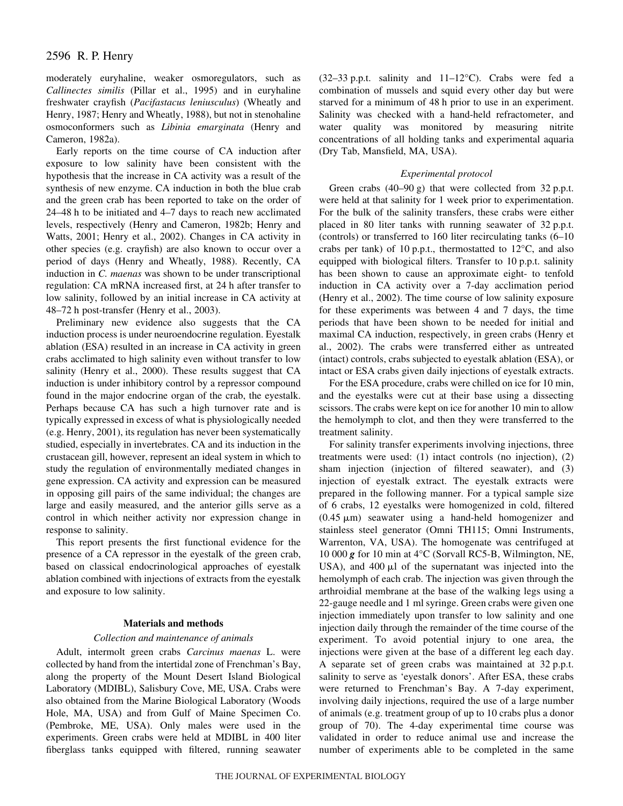# 2596 R. P. Henry

moderately euryhaline, weaker osmoregulators, such as *Callinectes similis* (Pillar et al., 1995) and in euryhaline freshwater crayfish (*Pacifastacus leniusculus*) (Wheatly and Henry, 1987; Henry and Wheatly, 1988), but not in stenohaline osmoconformers such as *Libinia emarginata* (Henry and Cameron, 1982a).

Early reports on the time course of CA induction after exposure to low salinity have been consistent with the hypothesis that the increase in CA activity was a result of the synthesis of new enzyme. CA induction in both the blue crab and the green crab has been reported to take on the order of 24–48 h to be initiated and 4–7 days to reach new acclimated levels, respectively (Henry and Cameron, 1982b; Henry and Watts, 2001; Henry et al., 2002). Changes in CA activity in other species (e.g. crayfish) are also known to occur over a period of days (Henry and Wheatly, 1988). Recently, CA induction in *C. maenas* was shown to be under transcriptional regulation: CA mRNA increased first, at 24 h after transfer to low salinity, followed by an initial increase in CA activity at 48–72 h post-transfer (Henry et al., 2003).

Preliminary new evidence also suggests that the CA induction process is under neuroendocrine regulation. Eyestalk ablation (ESA) resulted in an increase in CA activity in green crabs acclimated to high salinity even without transfer to low salinity (Henry et al., 2000). These results suggest that CA induction is under inhibitory control by a repressor compound found in the major endocrine organ of the crab, the eyestalk. Perhaps because CA has such a high turnover rate and is typically expressed in excess of what is physiologically needed (e.g. Henry, 2001), its regulation has never been systematically studied, especially in invertebrates. CA and its induction in the crustacean gill, however, represent an ideal system in which to study the regulation of environmentally mediated changes in gene expression. CA activity and expression can be measured in opposing gill pairs of the same individual; the changes are large and easily measured, and the anterior gills serve as a control in which neither activity nor expression change in response to salinity.

This report presents the first functional evidence for the presence of a CA repressor in the eyestalk of the green crab, based on classical endocrinological approaches of eyestalk ablation combined with injections of extracts from the eyestalk and exposure to low salinity.

#### **Materials and methods**

### *Collection and maintenance of animals*

Adult, intermolt green crabs *Carcinus maenas* L. were collected by hand from the intertidal zone of Frenchman's Bay, along the property of the Mount Desert Island Biological Laboratory (MDIBL), Salisbury Cove, ME, USA. Crabs were also obtained from the Marine Biological Laboratory (Woods Hole, MA, USA) and from Gulf of Maine Specimen Co. (Pembroke, ME, USA). Only males were used in the experiments. Green crabs were held at MDIBL in 400 liter fiberglass tanks equipped with filtered, running seawater

(32–33 p.p.t. salinity and  $11-12$ °C). Crabs were fed a combination of mussels and squid every other day but were starved for a minimum of 48 h prior to use in an experiment. Salinity was checked with a hand-held refractometer, and water quality was monitored by measuring nitrite concentrations of all holding tanks and experimental aquaria (Dry Tab, Mansfield, MA, USA).

## *Experimental protocol*

Green crabs  $(40-90 \text{ g})$  that were collected from 32 p.p.t. were held at that salinity for 1 week prior to experimentation. For the bulk of the salinity transfers, these crabs were either placed in 80 liter tanks with running seawater of 32 p.p.t. (controls) or transferred to 160 liter recirculating tanks (6–10 crabs per tank) of 10 p.p.t., thermostatted to  $12^{\circ}$ C, and also equipped with biological filters. Transfer to 10 p.p.t. salinity has been shown to cause an approximate eight- to tenfold induction in CA activity over a 7-day acclimation period (Henry et al., 2002). The time course of low salinity exposure for these experiments was between 4 and 7 days, the time periods that have been shown to be needed for initial and maximal CA induction, respectively, in green crabs (Henry et al., 2002). The crabs were transferred either as untreated (intact) controls, crabs subjected to eyestalk ablation (ESA), or intact or ESA crabs given daily injections of eyestalk extracts.

For the ESA procedure, crabs were chilled on ice for 10 min, and the eyestalks were cut at their base using a dissecting scissors. The crabs were kept on ice for another 10 min to allow the hemolymph to clot, and then they were transferred to the treatment salinity.

For salinity transfer experiments involving injections, three treatments were used: (1) intact controls (no injection), (2) sham injection (injection of filtered seawater), and (3) injection of eyestalk extract. The eyestalk extracts were prepared in the following manner. For a typical sample size of 6 crabs, 12 eyestalks were homogenized in cold, filtered  $(0.45 \mu m)$  seawater using a hand-held homogenizer and stainless steel generator (Omni TH115; Omni Instruments, Warrenton, VA, USA). The homogenate was centrifuged at 10 000  $g$  for 10 min at 4°C (Sorvall RC5-B, Wilmington, NE, USA), and  $400 \mu l$  of the supernatant was injected into the hemolymph of each crab. The injection was given through the arthroidial membrane at the base of the walking legs using a 22-gauge needle and 1 ml syringe. Green crabs were given one injection immediately upon transfer to low salinity and one injection daily through the remainder of the time course of the experiment. To avoid potential injury to one area, the injections were given at the base of a different leg each day. A separate set of green crabs was maintained at 32 p.p.t. salinity to serve as 'eyestalk donors'. After ESA, these crabs were returned to Frenchman's Bay. A 7-day experiment, involving daily injections, required the use of a large number of animals (e.g. treatment group of up to 10 crabs plus a donor group of 70). The 4-day experimental time course was validated in order to reduce animal use and increase the number of experiments able to be completed in the same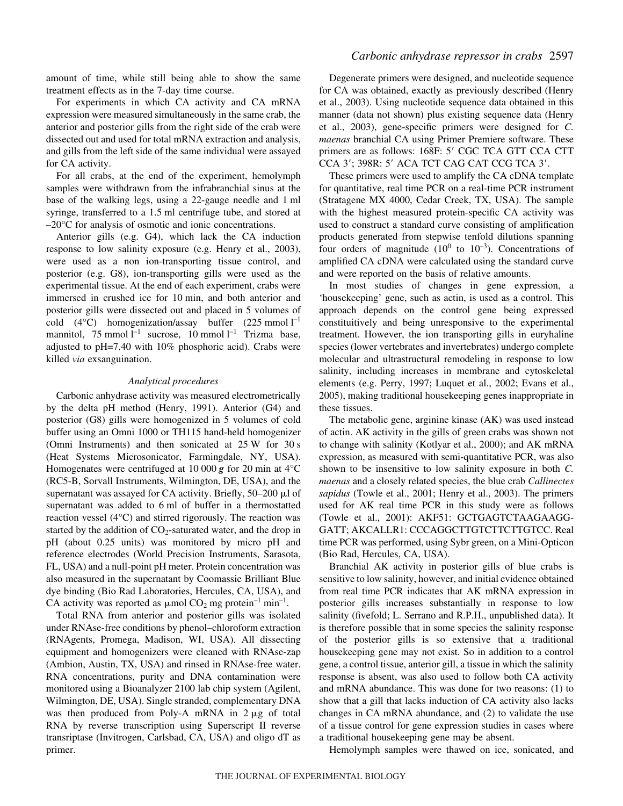amount of time, while still being able to show the same treatment effects as in the 7-day time course.

For experiments in which CA activity and CA mRNA expression were measured simultaneously in the same crab, the anterior and posterior gills from the right side of the crab were dissected out and used for total mRNA extraction and analysis, and gills from the left side of the same individual were assayed for CA activity.

For all crabs, at the end of the experiment, hemolymph samples were withdrawn from the infrabranchial sinus at the base of the walking legs, using a 22-gauge needle and 1 ml syringe, transferred to a 1.5 ml centrifuge tube, and stored at –20°C for analysis of osmotic and ionic concentrations.

Anterior gills (e.g. G4), which lack the CA induction response to low salinity exposure (e.g. Henry et al., 2003), were used as a non ion-transporting tissue control, and posterior (e.g. G8), ion-transporting gills were used as the experimental tissue. At the end of each experiment, crabs were immersed in crushed ice for 10 min, and both anterior and posterior gills were dissected out and placed in 5 volumes of cold  $(4^{\circ}C)$  homogenization/assay buffer  $(225 \text{ mmol } l^{-1})$ mannitol, 75 mmol  $l^{-1}$  sucrose, 10 mmol  $l^{-1}$  Trizma base, adjusted to pH=7.40 with 10% phosphoric acid). Crabs were killed *via* exsanguination.

### *Analytical procedures*

Carbonic anhydrase activity was measured electrometrically by the delta pH method (Henry, 1991). Anterior (G4) and posterior (G8) gills were homogenized in 5 volumes of cold buffer using an Omni 1000 or TH115 hand-held homogenizer (Omni Instruments) and then sonicated at  $25 \text{ W}$  for  $30 \text{ s}$ (Heat Systems Microsonicator, Farmingdale, NY, USA). Homogenates were centrifuged at 10 000  $\boldsymbol{g}$  for 20 min at 4°C (RC5-B, Sorvall Instruments, Wilmington, DE, USA), and the supernatant was assayed for CA activity. Briefly, 50-200 µl of supernatant was added to 6 ml of buffer in a thermostatted reaction vessel (4°C) and stirred rigorously. The reaction was started by the addition of  $CO<sub>2</sub>$ -saturated water, and the drop in pH (about 0.25 units) was monitored by micro pH and reference electrodes (World Precision Instruments, Sarasota, FL, USA) and a null-point pH meter. Protein concentration was also measured in the supernatant by Coomassie Brilliant Blue dye binding (Bio Rad Laboratories, Hercules, CA, USA), and CA activity was reported as  $\mu$ mol CO<sub>2</sub> mg protein<sup>-1</sup> min<sup>-1</sup>.

Total RNA from anterior and posterior gills was isolated under RNAse-free conditions by phenol–chloroform extraction (RNAgents, Promega, Madison, WI, USA). All dissecting equipment and homogenizers were cleaned with RNAse-zap (Ambion, Austin, TX, USA) and rinsed in RNAse-free water. RNA concentrations, purity and DNA contamination were monitored using a Bioanalyzer 2100 lab chip system (Agilent, Wilmington, DE, USA). Single stranded, complementary DNA was then produced from Poly-A mRNA in  $2 \mu g$  of total RNA by reverse transcription using Superscript II reverse transriptase (Invitrogen, Carlsbad, CA, USA) and oligo dT as primer.

Degenerate primers were designed, and nucleotide sequence for CA was obtained, exactly as previously described (Henry et al., 2003). Using nucleotide sequence data obtained in this manner (data not shown) plus existing sequence data (Henry et al., 2003), gene-specific primers were designed for *C. maenas* branchial CA using Primer Premiere software. These primers are as follows: 168F: 5' CGC TCA GTT CCA CTT CCA 3'; 398R: 5' ACA TCT CAG CAT CCG TCA 3'.

These primers were used to amplify the CA cDNA template for quantitative, real time PCR on a real-time PCR instrument (Stratagene MX 4000, Cedar Creek, TX, USA). The sample with the highest measured protein-specific CA activity was used to construct a standard curve consisting of amplification products generated from stepwise tenfold dilutions spanning four orders of magnitude  $(10^0$  to  $10^{-3})$ . Concentrations of amplified CA cDNA were calculated using the standard curve and were reported on the basis of relative amounts.

In most studies of changes in gene expression, a 'housekeeping' gene, such as actin, is used as a control. This approach depends on the control gene being expressed constituitively and being unresponsive to the experimental treatment. However, the ion transporting gills in euryhaline species (lower vertebrates and invertebrates) undergo complete molecular and ultrastructural remodeling in response to low salinity, including increases in membrane and cytoskeletal elements (e.g. Perry, 1997; Luquet et al., 2002; Evans et al., 2005), making traditional housekeeping genes inappropriate in these tissues.

The metabolic gene, arginine kinase (AK) was used instead of actin. AK activity in the gills of green crabs was shown not to change with salinity (Kotlyar et al., 2000); and AK mRNA expression, as measured with semi-quantitative PCR, was also shown to be insensitive to low salinity exposure in both *C. maenas* and a closely related species, the blue crab *Callinectes sapidus* (Towle et al., 2001; Henry et al., 2003). The primers used for AK real time PCR in this study were as follows (Towle et al., 2001): AKF51: GCTGAGTCTAAGAAGG-GATT; AKCALLR1: CCCAGGCTTGTCTTCTTGTCC. Real time PCR was performed, using Sybr green, on a Mini-Opticon (Bio Rad, Hercules, CA, USA).

Branchial AK activity in posterior gills of blue crabs is sensitive to low salinity, however, and initial evidence obtained from real time PCR indicates that AK mRNA expression in posterior gills increases substantially in response to low salinity (fivefold; L. Serrano and R.P.H., unpublished data). It is therefore possible that in some species the salinity response of the posterior gills is so extensive that a traditional housekeeping gene may not exist. So in addition to a control gene, a control tissue, anterior gill, a tissue in which the salinity response is absent, was also used to follow both CA activity and mRNA abundance. This was done for two reasons: (1) to show that a gill that lacks induction of CA activity also lacks changes in CA mRNA abundance, and (2) to validate the use of a tissue control for gene expression studies in cases where a traditional housekeeping gene may be absent.

Hemolymph samples were thawed on ice, sonicated, and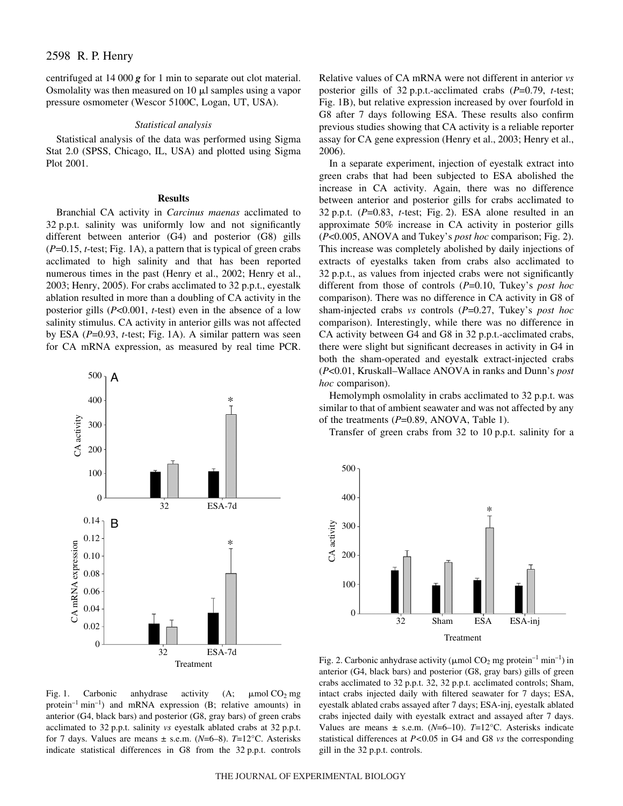centrifuged at  $14\ 000\ g$  for 1 min to separate out clot material. Osmolality was then measured on  $10 \mu l$  samples using a vapor pressure osmometer (Wescor 5100C, Logan, UT, USA).

#### *Statistical analysis*

Statistical analysis of the data was performed using Sigma Stat 2.0 (SPSS, Chicago, IL, USA) and plotted using Sigma Plot 2001.

#### **Results**

Branchial CA activity in *Carcinus maenas* acclimated to 32 p.p.t. salinity was uniformly low and not significantly different between anterior (G4) and posterior (G8) gills  $(P=0.15, t$ -test; Fig. 1A), a pattern that is typical of green crabs acclimated to high salinity and that has been reported numerous times in the past (Henry et al., 2002; Henry et al., 2003; Henry, 2005). For crabs acclimated to 32 p.p.t., eyestalk ablation resulted in more than a doubling of CA activity in the posterior gills (*P*<0.001, *t*-test) even in the absence of a low salinity stimulus. CA activity in anterior gills was not affected by ESA (P=0.93, *t*-test; Fig. 1A). A similar pattern was seen for CA mRNA expression, as measured by real time PCR.



Fig. 1. Carbonic anhydrase activity (A;  $\mu$ mol CO<sub>2</sub> mg protein<sup>-1</sup> min<sup>-1</sup>) and mRNA expression (B; relative amounts) in anterior (G4, black bars) and posterior (G8, gray bars) of green crabs acclimated to 32 p.p.t. salinity *vs* eyestalk ablated crabs at 32 p.p.t. for 7 days. Values are means ± s.e.m. (*N*=6–8). *T*=12°C. Asterisks indicate statistical differences in G8 from the 32 p.p.t. controls

Relative values of CA mRNA were not different in anterior *vs* posterior gills of 32 p.p.t.-acclimated crabs (*P*=0.79, *t*-test; Fig. 1B), but relative expression increased by over fourfold in G8 after 7 days following ESA. These results also confirm previous studies showing that CA activity is a reliable reporter assay for CA gene expression (Henry et al., 2003; Henry et al., 2006).

In a separate experiment, injection of eyestalk extract into green crabs that had been subjected to ESA abolished the increase in CA activity. Again, there was no difference between anterior and posterior gills for crabs acclimated to 32 p.p.t.  $(P=0.83, t-test; Fig. 2)$ . ESA alone resulted in an approximate 50% increase in CA activity in posterior gills (*P*<0.005, ANOVA and Tukey's *post hoc* comparison; Fig. 2). This increase was completely abolished by daily injections of extracts of eyestalks taken from crabs also acclimated to 32 p.p.t., as values from injected crabs were not significantly different from those of controls (*P*=0.10, Tukey's *post hoc* comparison). There was no difference in CA activity in G8 of sham-injected crabs *vs* controls (*P*=0.27, Tukey's *post hoc* comparison). Interestingly, while there was no difference in CA activity between G4 and G8 in 32 p.p.t.-acclimated crabs, there were slight but significant decreases in activity in G4 in both the sham-operated and eyestalk extract-injected crabs (*P*<0.01, Kruskall–Wallace ANOVA in ranks and Dunn's *post hoc* comparison).

Hemolymph osmolality in crabs acclimated to 32 p.p.t. was similar to that of ambient seawater and was not affected by any of the treatments (*P*=0.89, ANOVA, Table 1).

Transfer of green crabs from  $32$  to  $10$  p.p.t. salinity for a



Fig. 2. Carbonic anhydrase activity ( $\mu$ mol CO<sub>2</sub> mg protein<sup>-1</sup> min<sup>-1</sup>) in anterior (G4, black bars) and posterior (G8, gray bars) gills of green crabs acclimated to 32 p.p.t. 32, 32 p.p.t. acclimated controls; Sham, intact crabs injected daily with filtered seawater for 7 days; ESA, eyestalk ablated crabs assayed after 7 days; ESA-inj, eyestalk ablated crabs injected daily with eyestalk extract and assayed after 7 days. Values are means  $\pm$  s.e.m. ( $N=6$ –10).  $T=12$ °C. Asterisks indicate statistical differences at *P<*0.05 in G4 and G8 *vs* the corresponding gill in the 32 p.p.t. controls.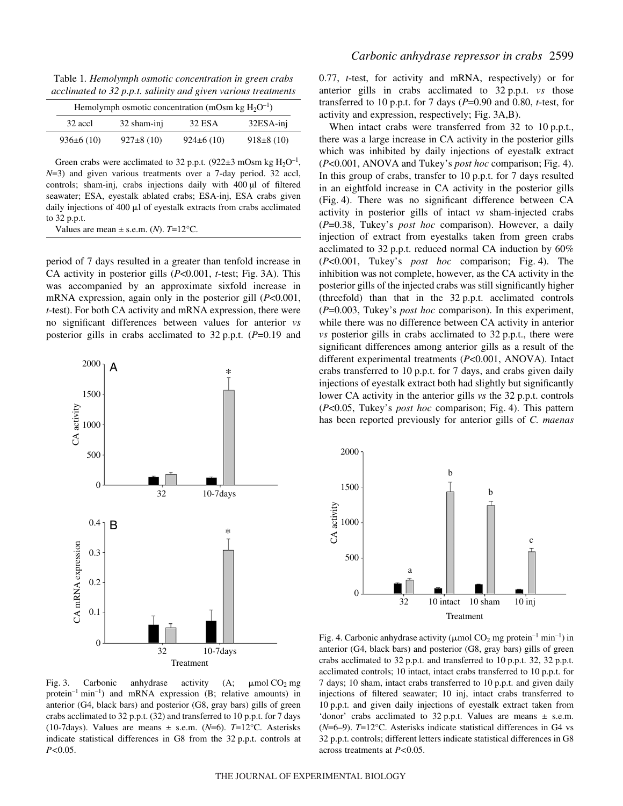Table 1. Hemolymph osmotic concentration in green crabs *acclimated to 32·p.p.t. salinity and given various treatments* 

| Hemolymph osmotic concentration (mOsm kg $H_2O^{-1}$ ) |               |                |               |  |  |
|--------------------------------------------------------|---------------|----------------|---------------|--|--|
| 32 accl                                                | 32 sham-inj   | 32 ESA         | 32ESA-inj     |  |  |
| 936±6(10)                                              | $927\pm8(10)$ | $924\pm 6(10)$ | $918\pm8(10)$ |  |  |

Green crabs were acclimated to 32 p.p.t. (922 $\pm$ 3 mOsm kg H<sub>2</sub>O<sup>-1</sup>, *N*=3) and given various treatments over a 7-day period. 32 accl, controls; sham-inj, crabs injections daily with 400 µl of filtered seawater; ESA, eyestalk ablated crabs; ESA-inj, ESA crabs given daily injections of 400 µl of eyestalk extracts from crabs acclimated to 32 p.p.t.

period of 7 days resulted in a greater than tenfold increase in CA activity in posterior gills (*P*<0.001, *t*-test; Fig. 3A). This was accompanied by an approximate sixfold increase in mRNA expression, again only in the posterior gill (*P*<0.001, *t*-test). For both CA activity and mRNA expression, there were no significant differences between values for anterior *vs* posterior gills in crabs acclimated to  $32$  p.p.t. ( $P=0.19$  and



Fig. 3. Carbonic anhydrase activity (A;  $\mu$ mol CO<sub>2</sub> mg protein<sup>-1</sup> min<sup>-1</sup>) and mRNA expression (B; relative amounts) in anterior (G4, black bars) and posterior (G8, gray bars) gills of green crabs acclimated to  $32$  p.p.t.  $(32)$  and transferred to  $10$  p.p.t. for  $7$  days (10-7days). Values are means ± s.e.m. (*N*=6). *T*=12°C. Asterisks indicate statistical differences in G8 from the 32 p.p.t. controls at *P<*0.05.

0.77, *t*-test, for activity and mRNA, respectively) or for anterior gills in crabs acclimated to 32 p.p.t. *vs* those transferred to 10 p.p.t. for 7 days ( $P=0.90$  and 0.80, *t*-test, for activity and expression, respectively; Fig. 3A,B).

When intact crabs were transferred from  $32$  to  $10$  p.p.t., there was a large increase in CA activity in the posterior gills which was inhibited by daily injections of eyestalk extract (*P*<0.001, ANOVA and Tukey's *post hoc* comparison; Fig. 4). In this group of crabs, transfer to  $10$  p.p.t. for  $7$  days resulted in an eightfold increase in CA activity in the posterior gills (Fig. 4). There was no significant difference between CA activity in posterior gills of intact *vs* sham-injected crabs (*P*=0.38, Tukey's *post hoc* comparison). However, a daily injection of extract from eyestalks taken from green crabs acclimated to 32 p.p.t. reduced normal CA induction by  $60\%$ (*P*<0.001, Tukey's *post hoc* comparison; Fig. 4). The inhibition was not complete, however, as the CA activity in the posterior gills of the injected crabs was still significantly higher (threefold) than that in the  $32$  p.p.t. acclimated controls (*P*=0.003, Tukey's *post hoc* comparison). In this experiment, while there was no difference between CA activity in anterior *vs* posterior gills in crabs acclimated to 32 p.p.t., there were significant differences among anterior gills as a result of the different experimental treatments (*P*<0.001, ANOVA). Intact crabs transferred to 10 p.p.t. for 7 days, and crabs given daily injections of eyestalk extract both had slightly but significantly lower CA activity in the anterior gills *vs* the 32 p.p.t. controls (*P<0.05*, Tukey's *post hoc* comparison; Fig. 4). This pattern has been reported previously for anterior gills of *C. maenas*



Fig. 4. Carbonic anhydrase activity ( $\mu$ mol CO<sub>2</sub> mg protein<sup>-1</sup> min<sup>-1</sup>) in anterior (G4, black bars) and posterior (G8, gray bars) gills of green crabs acclimated to 32 p.p.t. and transferred to 10 p.p.t. 32, 32 p.p.t. acclimated controls; 10 intact, intact crabs transferred to 10 p.p.t. for 7 days; 10 sham, intact crabs transferred to 10 p.p.t. and given daily injections of filtered seawater; 10 inj, intact crabs transferred to 10 p.p.t. and given daily injections of eyestalk extract taken from 'donor' crabs acclimated to  $32$  p.p.t. Values are means  $\pm$  s.e.m. (*N*=6–9). *T*=12°C. Asterisks indicate statistical differences in G4 vs 32 p.p.t. controls; different letters indicate statistical differences in G8 across treatments at *P<*0.05.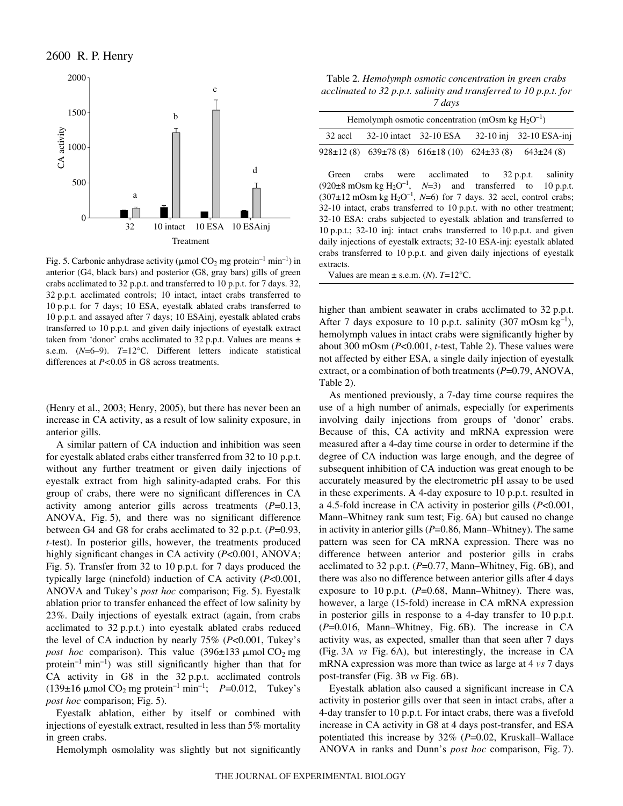

Fig. 5. Carbonic anhydrase activity ( $\mu$ mol CO<sub>2</sub> mg protein<sup>-1</sup> min<sup>-1</sup>) in anterior (G4, black bars) and posterior (G8, gray bars) gills of green crabs acclimated to 32 p.p.t. and transferred to 10 p.p.t. for 7 days. 32, 32 p.p.t. acclimated controls; 10 intact, intact crabs transferred to 10 p.p.t. for 7 days; 10 ESA, eyestalk ablated crabs transferred to 10 p.p.t. and assayed after 7 days; 10 ESAinj, eyestalk ablated crabs transferred to 10 p.p.t. and given daily injections of eyestalk extract taken from 'donor' crabs acclimated to 32 p.p.t. Values are means  $\pm$ s.e.m. (*N*=6–9). *T*=12°C. Different letters indicate statistical differences at *P<*0.05 in G8 across treatments.

(Henry et al., 2003; Henry, 2005), but there has never been an increase in CA activity, as a result of low salinity exposure, in anterior gills.

A similar pattern of CA induction and inhibition was seen for eyestalk ablated crabs either transferred from 32 to 10 p.p.t. without any further treatment or given daily injections of eyestalk extract from high salinity-adapted crabs. For this group of crabs, there were no significant differences in CA activity among anterior gills across treatments (*P*=0.13, ANOVA, Fig. 5), and there was no significant difference between G4 and G8 for crabs acclimated to  $32$  p.p.t. ( $P=0.93$ , *t*-test). In posterior gills, however, the treatments produced highly significant changes in CA activity (*P*<0.001, ANOVA; Fig. 5). Transfer from 32 to 10 p.p.t. for 7 days produced the typically large (ninefold) induction of CA activity (*P*<0.001, ANOVA and Tukey's *post hoc* comparison; Fig. 5). Eyestalk ablation prior to transfer enhanced the effect of low salinity by 23%. Daily injections of eyestalk extract (again, from crabs acclimated to 32 p.p.t.) into eyestalk ablated crabs reduced the level of CA induction by nearly 75% (*P*<0.001, Tukey's *post hoc* comparison). This value  $(396\pm133 \mu \text{mol})$  CO<sub>2</sub> mg protein<sup>-1</sup> min<sup>-1</sup>) was still significantly higher than that for CA activity in G8 in the  $32$  p.p.t. acclimated controls (139 $\pm$ 16  $\mu$ mol CO<sub>2</sub> mg protein<sup>-1</sup> min<sup>-1</sup>; *P*=0.012, Tukey's *post hoc* comparison; Fig. 5).

Eyestalk ablation, either by itself or combined with injections of eyestalk extract, resulted in less than 5% mortality in green crabs.

Hemolymph osmolality was slightly but not significantly

Table*·*2*. Hemolymph osmotic concentration in green crabs acclimated to 32·p.p.t. salinity and transferred to 10·p.p.t. for 7 days*

|         | Hemolymph osmotic concentration (mOsm kg $H_2O^{-1}$ ) |                                                                         |  |                             |  |  |  |
|---------|--------------------------------------------------------|-------------------------------------------------------------------------|--|-----------------------------|--|--|--|
| 32 accl |                                                        | 32-10 intact 32-10 ESA                                                  |  | $32-10$ inj $32-10$ ESA-inj |  |  |  |
|         |                                                        | 928±12 (8) $639\pm78$ (8) $616\pm18$ (10) $624\pm33$ (8) $643\pm24$ (8) |  |                             |  |  |  |

Green crabs were acclimated to 32 p.p.t. salinity (920 $\pm$ 8 mOsm kg H<sub>2</sub>O<sup>-1</sup>, *N*=3) and transferred to 10 p.p.t.  $(307\pm12 \text{ mOsm kg H}_2\text{O}^{-1}, N=6)$  for 7 days. 32 accl, control crabs;  $32-10$  intact, crabs transferred to  $10$  p.p.t. with no other treatment; 32-10 ESA: crabs subjected to eyestalk ablation and transferred to 10 p.p.t.; 32-10 inj: intact crabs transferred to 10 p.p.t. and given daily injections of eyestalk extracts; 32-10 ESA-inj: eyestalk ablated crabs transferred to 10 p.p.t. and given daily injections of eyestalk extracts.

Values are mean  $\pm$  s.e.m. (*N*). *T*=12°C.

higher than ambient seawater in crabs acclimated to 32 p.p.t. After 7 days exposure to 10 p.p.t. salinity (307 mOsm  $kg^{-1}$ ), hemolymph values in intact crabs were significantly higher by about 300 mOsm ( $P<0.001$ , *t*-test, Table 2). These values were not affected by either ESA, a single daily injection of eyestalk extract, or a combination of both treatments (*P*=0.79, ANOVA, Table 2).

As mentioned previously, a 7-day time course requires the use of a high number of animals, especially for experiments involving daily injections from groups of 'donor' crabs. Because of this, CA activity and mRNA expression were measured after a 4-day time course in order to determine if the degree of CA induction was large enough, and the degree of subsequent inhibition of CA induction was great enough to be accurately measured by the electrometric pH assay to be used in these experiments. A 4-day exposure to  $10$  p.p.t. resulted in a 4.5-fold increase in CA activity in posterior gills (*P*<0.001, Mann–Whitney rank sum test; Fig. 6A) but caused no change in activity in anterior gills (*P*=0.86, Mann–Whitney). The same pattern was seen for CA mRNA expression. There was no difference between anterior and posterior gills in crabs acclimated to 32 p.p.t.  $(P=0.77, \text{Mann}-\text{Whitney}, \text{Fig. 6B})$ , and there was also no difference between anterior gills after 4 days exposure to 10 p.p.t.  $(P=0.68, \text{ Mann}-\text{Whitney})$ . There was, however, a large (15-fold) increase in CA mRNA expression in posterior gills in response to a 4-day transfer to  $10$  p.p.t.  $(P=0.016,$  Mann–Whitney, Fig.  $6B$ ). The increase in CA activity was, as expected, smaller than that seen after 7 days (Fig. 3A *vs* Fig. 6A), but interestingly, the increase in CA mRNA expression was more than twice as large at 4 *vs* 7 days post-transfer (Fig. 3B *vs* Fig. 6B).

Eyestalk ablation also caused a significant increase in CA activity in posterior gills over that seen in intact crabs, after a 4-day transfer to 10 p.p.t. For intact crabs, there was a fivefold increase in CA activity in G8 at 4 days post-transfer, and ESA potentiated this increase by 32% (*P*=0.02, Kruskall–Wallace ANOVA in ranks and Dunn's *post hoc* comparison, Fig. 7).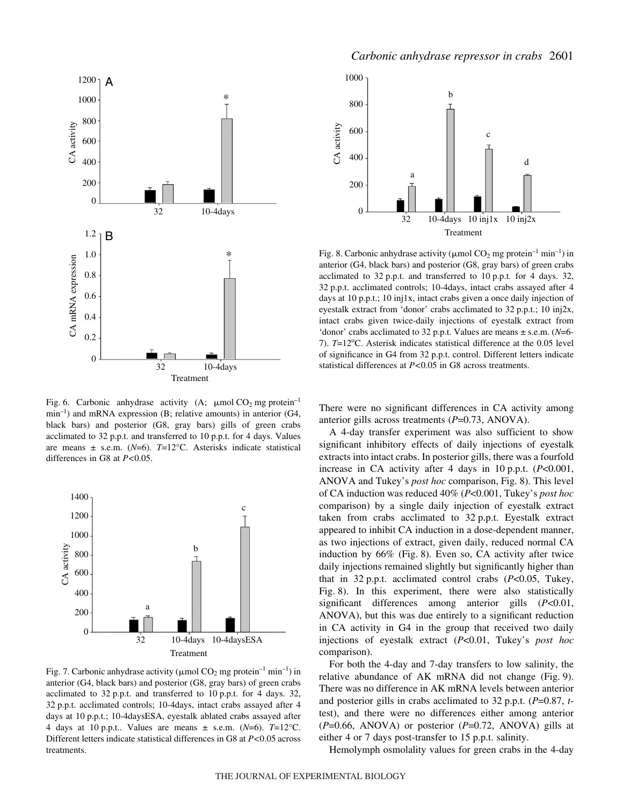

Fig. 6. Carbonic anhydrase activity (A;  $\mu$ mol CO<sub>2</sub> mg protein<sup>-1</sup>  $min^{-1}$ ) and mRNA expression (B; relative amounts) in anterior (G4, black bars) and posterior (G8, gray bars) gills of green crabs acclimated to 32 p.p.t. and transferred to 10 p.p.t. for 4 days. Values are means ± s.e.m. (*N*=6). *T*=12°C. Asterisks indicate statistical differences in G8 at *P<*0.05.



Fig. 7. Carbonic anhydrase activity ( $\mu$ mol CO<sub>2</sub> mg protein<sup>-1</sup> min<sup>-1</sup>) in anterior (G4, black bars) and posterior (G8, gray bars) of green crabs acclimated to 32 p.p.t. and transferred to 10 p.p.t. for 4 days. 32, 32 p.p.t. acclimated controls; 10-4days, intact crabs assayed after 4 days at 10 p.p.t.; 10-4daysESA, eyestalk ablated crabs assayed after 4 days at 10 p.p.t.. Values are means  $\pm$  s.e.m. ( $N=6$ ).  $T=12^{\circ}$ C. Different letters indicate statistical differences in G8 at *P<*0.05 across treatments.



Fig. 8. Carbonic anhydrase activity ( $\mu$ mol CO<sub>2</sub> mg protein<sup>-1</sup> min<sup>-1</sup>) in anterior (G4, black bars) and posterior (G8, gray bars) of green crabs acclimated to  $32$  p.p.t. and transferred to  $10$  p.p.t. for 4 days.  $32$ , 32 p.p.t. acclimated controls; 10-4days, intact crabs assayed after 4 days at 10 p.p.t.; 10 inj1x, intact crabs given a once daily injection of eyestalk extract from 'donor' crabs acclimated to 32 p.p.t.; 10 inj2x, intact crabs given twice-daily injections of eyestalk extract from 'donor' crabs acclimated to 32 p.p.t. Values are means  $\pm$  s.e.m. (*N*=6-7). *T*=12°C. Asterisk indicates statistical difference at the 0.05 level of significance in G4 from 32 p.p.t. control. Different letters indicate statistical differences at *P<*0.05 in G8 across treatments.

There were no significant differences in CA activity among anterior gills across treatments (*P*=0.73, ANOVA).

A 4-day transfer experiment was also sufficient to show significant inhibitory effects of daily injections of eyestalk extracts into intact crabs. In posterior gills, there was a fourfold increase in CA activity after 4 days in 10 p.p.t.  $(P<0.001$ , ANOVA and Tukey's *post hoc* comparison, Fig. 8). This level of CA induction was reduced 40% (*P*<0.001, Tukey's *post hoc* comparison) by a single daily injection of eyestalk extract taken from crabs acclimated to 32 p.p.t. Eyestalk extract appeared to inhibit CA induction in a dose-dependent manner, as two injections of extract, given daily, reduced normal CA induction by  $66\%$  (Fig. 8). Even so, CA activity after twice daily injections remained slightly but significantly higher than that in 32 p.p.t. acclimated control crabs  $(P<0.05$ , Tukey, Fig. 8). In this experiment, there were also statistically significant differences among anterior gills (*P*<0.01, ANOVA), but this was due entirely to a significant reduction in CA activity in G4 in the group that received two daily injections of eyestalk extract (*P*<0.01, Tukey's *post hoc* comparison).

For both the 4-day and 7-day transfers to low salinity, the relative abundance of  $AK$  mRNA did not change (Fig. 9). There was no difference in AK mRNA levels between anterior and posterior gills in crabs acclimated to 32 p.p.t.  $(P=0.87, t$ test), and there were no differences either among anterior (*P*=0.66, ANOVA) or posterior (*P*=0.72, ANOVA) gills at either 4 or 7 days post-transfer to 15 p.p.t. salinity.

Hemolymph osmolality values for green crabs in the 4-day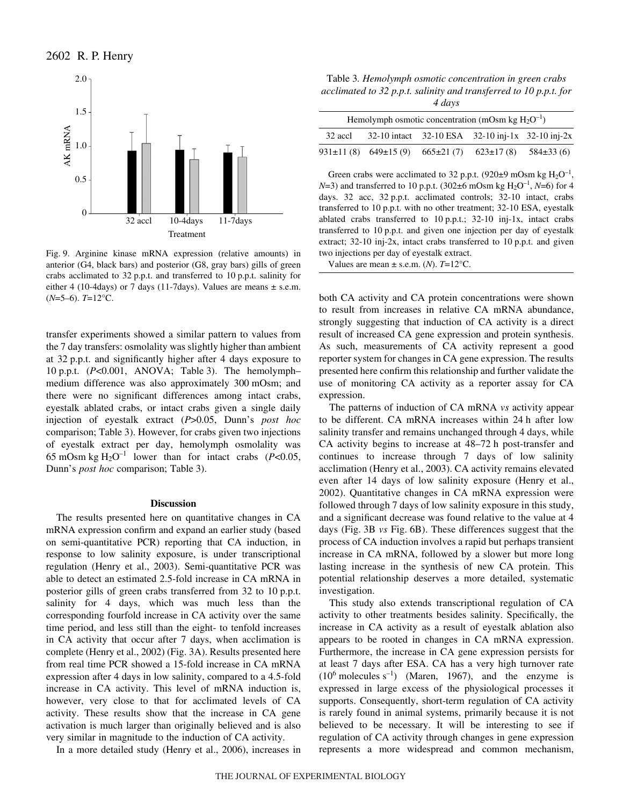

Fig. 9. Arginine kinase mRNA expression (relative amounts) in anterior (G4, black bars) and posterior (G8, gray bars) gills of green crabs acclimated to  $32$  p.p.t. and transferred to  $10$  p.p.t. salinity for either 4 (10-4days) or 7 days (11-7days). Values are means  $\pm$  s.e.m. (*N*=5–6). *T*=12°C.

transfer experiments showed a similar pattern to values from the 7 day transfers: osmolality was slightly higher than ambient at 32 p.p.t. and significantly higher after 4 days exposure to 10 p.p.t. (*P<*0.001, ANOVA; Table 3). The hemolymphmedium difference was also approximately 300 mOsm; and there were no significant differences among intact crabs, eyestalk ablated crabs, or intact crabs given a single daily injection of eyestalk extract (*P*>0.05, Dunn's *post hoc* comparison; Table 3). However, for crabs given two injections of eyestalk extract per day, hemolymph osmolality was 65 mOsm kg  $H_2O^{-1}$  lower than for intact crabs (*P<*0.05, Dunn's *post hoc* comparison; Table 3).

# **Discussion**

The results presented here on quantitative changes in CA mRNA expression confirm and expand an earlier study (based on semi-quantitative PCR) reporting that CA induction, in response to low salinity exposure, is under transcriptional regulation (Henry et al., 2003). Semi-quantitative PCR was able to detect an estimated 2.5-fold increase in CA mRNA in posterior gills of green crabs transferred from 32 to 10 p.p.t. salinity for 4 days, which was much less than the corresponding fourfold increase in CA activity over the same time period, and less still than the eight- to tenfold increases in CA activity that occur after 7 days, when acclimation is complete (Henry et al., 2002) (Fig. 3A). Results presented here from real time PCR showed a 15-fold increase in CA mRNA expression after 4 days in low salinity, compared to a 4.5-fold increase in CA activity. This level of mRNA induction is, however, very close to that for acclimated levels of CA activity. These results show that the increase in CA gene activation is much larger than originally believed and is also very similar in magnitude to the induction of CA activity.

In a more detailed study (Henry et al., 2006), increases in

Table*·*3*. Hemolymph osmotic concentration in green crabs acclimated to 32·p.p.t. salinity and transferred to 10·p.p.t. for 4 days*

| Hemolymph osmotic concentration (mOsm kg $H_2O^{-1}$ ) |                                 |                             |                                                  |               |  |  |
|--------------------------------------------------------|---------------------------------|-----------------------------|--------------------------------------------------|---------------|--|--|
| 32 accl                                                |                                 |                             | 32-10 intact 32-10 ESA 32-10 inj-1x 32-10 inj-2x |               |  |  |
|                                                        | $931 \pm 11(8)$ 649 $\pm 15(9)$ | $665\pm21(7)$ $623\pm17(8)$ |                                                  | $584\pm33(6)$ |  |  |

Green crabs were acclimated to 32 p.p.t. (920 $\pm$ 9 mOsm kg H<sub>2</sub>O<sup>-1</sup>, *N*=3) and transferred to 10 p.p.t. (302 $\pm$ 6 mOsm kg H<sub>2</sub>O<sup>-1</sup>, *N*=6) for 4 days. 32 acc, 32 p.p.t. acclimated controls; 32-10 intact, crabs transferred to 10 p.p.t. with no other treatment; 32-10 ESA, eyestalk ablated crabs transferred to  $10$  p.p.t.; 32-10 inj-1x, intact crabs transferred to 10 p.p.t. and given one injection per day of eyestalk extract;  $32-10$  inj-2x, intact crabs transferred to  $10$  p.p.t. and given two injections per day of eyestalk extract.

Values are mean  $\pm$  s.e.m. (*N*). *T*=12°C.

both CA activity and CA protein concentrations were shown to result from increases in relative CA mRNA abundance, strongly suggesting that induction of CA activity is a direct result of increased CA gene expression and protein synthesis. As such, measurements of CA activity represent a good reporter system for changes in CA gene expression. The results presented here confirm this relationship and further validate the use of monitoring CA activity as a reporter assay for CA expression.

The patterns of induction of CA mRNA *vs* activity appear to be different. CA mRNA increases within 24 h after low salinity transfer and remains unchanged through 4 days, while CA activity begins to increase at 48–72 h post-transfer and continues to increase through 7 days of low salinity acclimation (Henry et al., 2003). CA activity remains elevated even after 14 days of low salinity exposure (Henry et al., 2002). Quantitative changes in CA mRNA expression were followed through 7 days of low salinity exposure in this study, and a significant decrease was found relative to the value at 4 days (Fig. 3B *vs* Fig. 6B). These differences suggest that the process of CA induction involves a rapid but perhaps transient increase in CA mRNA, followed by a slower but more long lasting increase in the synthesis of new CA protein. This potential relationship deserves a more detailed, systematic investigation.

This study also extends transcriptional regulation of CA activity to other treatments besides salinity. Specifically, the increase in CA activity as a result of eyestalk ablation also appears to be rooted in changes in CA mRNA expression. Furthermore, the increase in CA gene expression persists for at least 7 days after ESA. CA has a very high turnover rate  $(10^6 \text{ molecules s}^{-1})$  (Maren, 1967), and the enzyme is expressed in large excess of the physiological processes it supports. Consequently, short-term regulation of CA activity is rarely found in animal systems, primarily because it is not believed to be necessary. It will be interesting to see if regulation of CA activity through changes in gene expression represents a more widespread and common mechanism,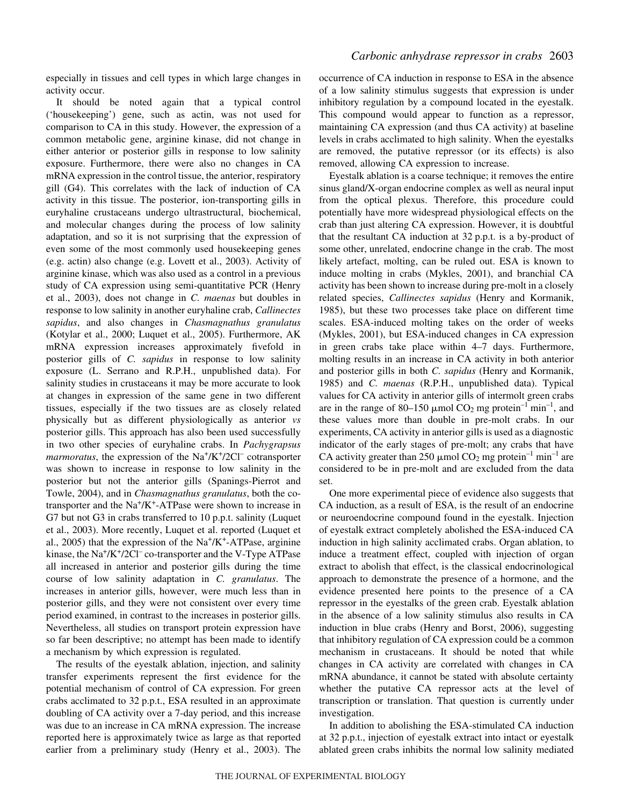especially in tissues and cell types in which large changes in activity occur.

It should be noted again that a typical control ('housekeeping') gene, such as actin, was not used for comparison to CA in this study. However, the expression of a common metabolic gene, arginine kinase, did not change in either anterior or posterior gills in response to low salinity exposure. Furthermore, there were also no changes in CA mRNA expression in the control tissue, the anterior, respiratory gill (G4). This correlates with the lack of induction of CA activity in this tissue. The posterior, ion-transporting gills in euryhaline crustaceans undergo ultrastructural, biochemical, and molecular changes during the process of low salinity adaptation, and so it is not surprising that the expression of even some of the most commonly used housekeeping genes (e.g. actin) also change (e.g. Lovett et al., 2003). Activity of arginine kinase, which was also used as a control in a previous study of CA expression using semi-quantitative PCR (Henry et al., 2003), does not change in *C. maenas* but doubles in response to low salinity in another euryhaline crab, *Callinectes sapidus*, and also changes in *Chasmagnathus granulatus* (Kotylar et al., 2000; Luquet et al., 2005). Furthermore, AK mRNA expression increases approximately fivefold in posterior gills of *C. sapidus* in response to low salinity exposure (L. Serrano and R.P.H., unpublished data). For salinity studies in crustaceans it may be more accurate to look at changes in expression of the same gene in two different tissues, especially if the two tissues are as closely related physically but as different physiologically as anterior *vs* posterior gills. This approach has also been used successfully in two other species of euryhaline crabs. In *Pachygrapsus marmoratus*, the expression of the Na<sup>+</sup>/K<sup>+</sup>/2Cl<sup>-</sup> cotransporter was shown to increase in response to low salinity in the posterior but not the anterior gills (Spanings-Pierrot and Towle, 2004), and in *Chasmagnathus granulatus*, both the cotransporter and the  $Na^+/K^+$ -ATPase were shown to increase in G7 but not G3 in crabs transferred to 10 p.p.t. salinity (Luquet et al., 2003). More recently, Luquet et al. reported (Luquet et al., 2005) that the expression of the  $Na^+/K^+$ -ATPase, arginine kinase, the Na<sup>+</sup>/K<sup>+</sup>/2Cl<sup>-</sup> co-transporter and the V-Type ATPase all increased in anterior and posterior gills during the time course of low salinity adaptation in *C. granulatus*. The increases in anterior gills, however, were much less than in

posterior gills, and they were not consistent over every time period examined, in contrast to the increases in posterior gills. Nevertheless, all studies on transport protein expression have so far been descriptive; no attempt has been made to identify a mechanism by which expression is regulated. The results of the eyestalk ablation, injection, and salinity

transfer experiments represent the first evidence for the potential mechanism of control of CA expression. For green crabs acclimated to 32 p.p.t., ESA resulted in an approximate doubling of CA activity over a 7-day period, and this increase was due to an increase in CA mRNA expression. The increase reported here is approximately twice as large as that reported earlier from a preliminary study (Henry et al., 2003). The

# *Carbonic anhydrase repressor in crabs* 2603

occurrence of CA induction in response to ESA in the absence of a low salinity stimulus suggests that expression is under inhibitory regulation by a compound located in the eyestalk. This compound would appear to function as a repressor, maintaining CA expression (and thus CA activity) at baseline levels in crabs acclimated to high salinity. When the eyestalks are removed, the putative repressor (or its effects) is also removed, allowing CA expression to increase.

Eyestalk ablation is a coarse technique; it removes the entire sinus gland/X-organ endocrine complex as well as neural input from the optical plexus. Therefore, this procedure could potentially have more widespread physiological effects on the crab than just altering CA expression. However, it is doubtful that the resultant CA induction at 32 p.p.t. is a by-product of some other, unrelated, endocrine change in the crab. The most likely artefact, molting, can be ruled out. ESA is known to induce molting in crabs (Mykles, 2001), and branchial CA activity has been shown to increase during pre-molt in a closely related species, *Callinectes sapidus* (Henry and Kormanik, 1985), but these two processes take place on different time scales. ESA-induced molting takes on the order of weeks (Mykles, 2001), but ESA-induced changes in CA expression in green crabs take place within 4–7 days. Furthermore, molting results in an increase in CA activity in both anterior and posterior gills in both *C. sapidus* (Henry and Kormanik, 1985) and *C. maenas* (R.P.H., unpublished data). Typical values for CA activity in anterior gills of intermolt green crabs are in the range of 80–150  $\mu$ mol CO<sub>2</sub> mg protein<sup>-1</sup> min<sup>-1</sup>, and these values more than double in pre-molt crabs. In our experiments, CA activity in anterior gills is used as a diagnostic indicator of the early stages of pre-molt; any crabs that have CA activity greater than 250  $\mu$ mol CO<sub>2</sub> mg protein<sup>-1</sup> min<sup>-1</sup> are considered to be in pre-molt and are excluded from the data set.

One more experimental piece of evidence also suggests that CA induction, as a result of ESA, is the result of an endocrine or neuroendocrine compound found in the eyestalk. Injection of eyestalk extract completely abolished the ESA-induced CA induction in high salinity acclimated crabs. Organ ablation, to induce a treatment effect, coupled with injection of organ extract to abolish that effect, is the classical endocrinological approach to demonstrate the presence of a hormone, and the evidence presented here points to the presence of a CA repressor in the eyestalks of the green crab. Eyestalk ablation in the absence of a low salinity stimulus also results in CA induction in blue crabs (Henry and Borst, 2006), suggesting that inhibitory regulation of CA expression could be a common mechanism in crustaceans. It should be noted that while changes in CA activity are correlated with changes in CA mRNA abundance, it cannot be stated with absolute certainty whether the putative CA repressor acts at the level of transcription or translation. That question is currently under investigation.

In addition to abolishing the ESA-stimulated CA induction at 32 p.p.t., injection of eyestalk extract into intact or eyestalk ablated green crabs inhibits the normal low salinity mediated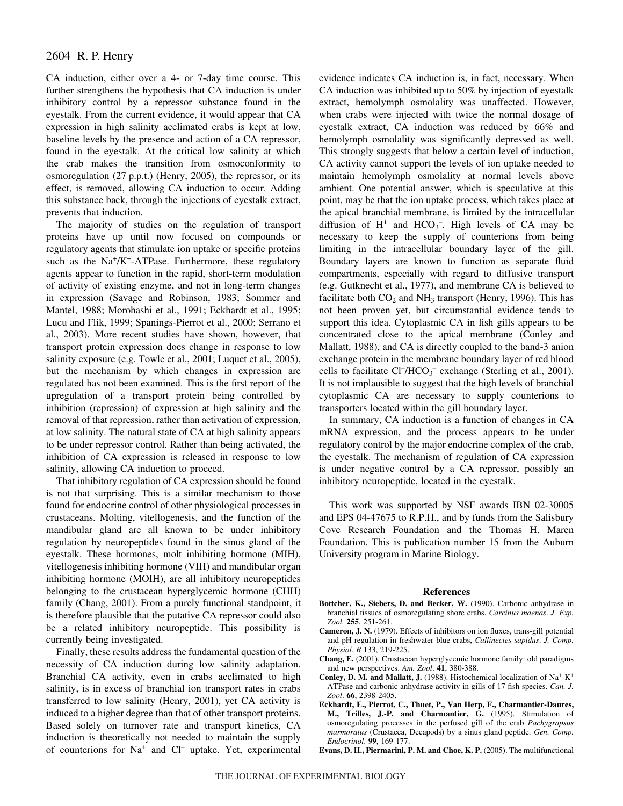# 2604 R. P. Henry

CA induction, either over a 4- or 7-day time course. This further strengthens the hypothesis that CA induction is under inhibitory control by a repressor substance found in the eyestalk. From the current evidence, it would appear that CA expression in high salinity acclimated crabs is kept at low, baseline levels by the presence and action of a CA repressor, found in the eyestalk. At the critical low salinity at which the crab makes the transition from osmoconformity to osmoregulation (27 p.p.t.) (Henry, 2005), the repressor, or its effect, is removed, allowing CA induction to occur. Adding this substance back, through the injections of eyestalk extract, prevents that induction.

The majority of studies on the regulation of transport proteins have up until now focused on compounds or regulatory agents that stimulate ion uptake or specific proteins such as the  $Na^+/K^+$ -ATPase. Furthermore, these regulatory agents appear to function in the rapid, short-term modulation of activity of existing enzyme, and not in long-term changes in expression (Savage and Robinson, 1983; Sommer and Mantel, 1988; Morohashi et al., 1991; Eckhardt et al., 1995; Lucu and Flik, 1999; Spanings-Pierrot et al., 2000; Serrano et al., 2003). More recent studies have shown, however, that transport protein expression does change in response to low salinity exposure (e.g. Towle et al., 2001; Luquet et al., 2005), but the mechanism by which changes in expression are regulated has not been examined. This is the first report of the upregulation of a transport protein being controlled by inhibition (repression) of expression at high salinity and the removal of that repression, rather than activation of expression, at low salinity. The natural state of CA at high salinity appears to be under repressor control. Rather than being activated, the inhibition of CA expression is released in response to low salinity, allowing CA induction to proceed.

That inhibitory regulation of CA expression should be found is not that surprising. This is a similar mechanism to those found for endocrine control of other physiological processes in crustaceans. Molting, vitellogenesis, and the function of the mandibular gland are all known to be under inhibitory regulation by neuropeptides found in the sinus gland of the eyestalk. These hormones, molt inhibiting hormone (MIH), vitellogenesis inhibiting hormone (VIH) and mandibular organ inhibiting hormone (MOIH), are all inhibitory neuropeptides belonging to the crustacean hyperglycemic hormone (CHH) family (Chang, 2001). From a purely functional standpoint, it is therefore plausible that the putative CA repressor could also be a related inhibitory neuropeptide. This possibility is currently being investigated.

Finally, these results address the fundamental question of the necessity of CA induction during low salinity adaptation. Branchial CA activity, even in crabs acclimated to high salinity, is in excess of branchial ion transport rates in crabs transferred to low salinity (Henry, 2001), yet CA activity is induced to a higher degree than that of other transport proteins. Based solely on turnover rate and transport kinetics, CA induction is theoretically not needed to maintain the supply of counterions for Na<sup>+</sup> and Cl<sup>-</sup> uptake. Yet, experimental evidence indicates CA induction is, in fact, necessary. When CA induction was inhibited up to 50% by injection of eyestalk extract, hemolymph osmolality was unaffected. However, when crabs were injected with twice the normal dosage of eyestalk extract, CA induction was reduced by 66% and hemolymph osmolality was significantly depressed as well. This strongly suggests that below a certain level of induction, CA activity cannot support the levels of ion uptake needed to maintain hemolymph osmolality at normal levels above ambient. One potential answer, which is speculative at this point, may be that the ion uptake process, which takes place at the apical branchial membrane, is limited by the intracellular diffusion of  $H^+$  and  $HCO_3^-$ . High levels of CA may be necessary to keep the supply of counterions from being limiting in the intracellular boundary layer of the gill. Boundary layers are known to function as separate fluid compartments, especially with regard to diffusive transport (e.g. Gutknecht et al., 1977), and membrane CA is believed to facilitate both  $CO<sub>2</sub>$  and NH<sub>3</sub> transport (Henry, 1996). This has not been proven yet, but circumstantial evidence tends to support this idea. Cytoplasmic CA in fish gills appears to be concentrated close to the apical membrane (Conley and Mallatt, 1988), and CA is directly coupled to the band-3 anion exchange protein in the membrane boundary layer of red blood cells to facilitate Cl<sup>-</sup>/HCO<sub>3</sub><sup>-</sup> exchange (Sterling et al., 2001). It is not implausible to suggest that the high levels of branchial cytoplasmic CA are necessary to supply counterions to transporters located within the gill boundary layer.

In summary, CA induction is a function of changes in CA mRNA expression, and the process appears to be under regulatory control by the major endocrine complex of the crab, the eyestalk. The mechanism of regulation of CA expression is under negative control by a CA repressor, possibly an inhibitory neuropeptide, located in the eyestalk.

This work was supported by NSF awards IBN 02-30005 and EPS 04-47675 to R.P.H., and by funds from the Salisbury Cove Research Foundation and the Thomas H. Maren Foundation. This is publication number 15 from the Auburn University program in Marine Biology.

#### **References**

- **Bottcher, K., Siebers, D. and Becker, W.** (1990). Carbonic anhydrase in branchial tissues of osmoregulating shore crabs, *Carcinus maenas*. *J. Exp. Zool.* **255**, 251-261.
- **Cameron, J. N.** (1979). Effects of inhibitors on ion fluxes, trans-gill potential and pH regulation in freshwater blue crabs, *Callinectes sapidus*. *J. Comp. Physiol. B* 133, 219-225.
- **Chang, E.** (2001). Crustacean hyperglycemic hormone family: old paradigms and new perspectives. *Am. Zool*. **41**, 380-388.
- **Conley, D. M. and Mallatt, J.** (1988). Histochemical localization of Na<sup>+</sup>-K<sup>+</sup> ATPase and carbonic anhydrase activity in gills of 17 fish species. *Can. J. Zool*. **66**, 2398-2405.
- **Eckhardt, E., Pierrot, C., Thuet, P., Van Herp, F., Charmantier-Daures, M., Trilles, J.-P. and Charmantier, G.** (1995). Stimulation of osmoregulating processes in the perfused gill of the crab *Pachygrapsus marmoratus* (Crustacea, Decapods) by a sinus gland peptide. *Gen. Comp. Endocrinol*. **99**, 169-177.

**Evans, D. H., Piermarini, P. M. and Choe, K. P.** (2005). The multifunctional